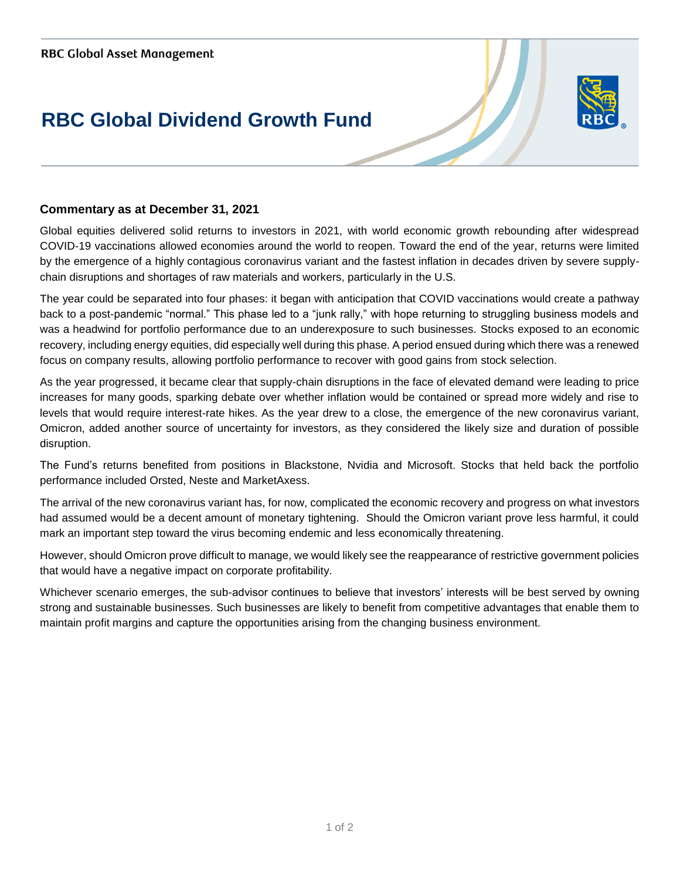## **RBC Global Dividend Growth Fund**



## **Commentary as at December 31, 2021**

Global equities delivered solid returns to investors in 2021, with world economic growth rebounding after widespread COVID-19 vaccinations allowed economies around the world to reopen. Toward the end of the year, returns were limited by the emergence of a highly contagious coronavirus variant and the fastest inflation in decades driven by severe supplychain disruptions and shortages of raw materials and workers, particularly in the U.S.

The year could be separated into four phases: it began with anticipation that COVID vaccinations would create a pathway back to a post-pandemic "normal." This phase led to a "junk rally," with hope returning to struggling business models and was a headwind for portfolio performance due to an underexposure to such businesses. Stocks exposed to an economic recovery, including energy equities, did especially well during this phase. A period ensued during which there was a renewed focus on company results, allowing portfolio performance to recover with good gains from stock selection.

As the year progressed, it became clear that supply-chain disruptions in the face of elevated demand were leading to price increases for many goods, sparking debate over whether inflation would be contained or spread more widely and rise to levels that would require interest-rate hikes. As the year drew to a close, the emergence of the new coronavirus variant, Omicron, added another source of uncertainty for investors, as they considered the likely size and duration of possible disruption.

The Fund's returns benefited from positions in Blackstone, Nvidia and Microsoft. Stocks that held back the portfolio performance included Orsted, Neste and MarketAxess.

The arrival of the new coronavirus variant has, for now, complicated the economic recovery and progress on what investors had assumed would be a decent amount of monetary tightening. Should the Omicron variant prove less harmful, it could mark an important step toward the virus becoming endemic and less economically threatening.

However, should Omicron prove difficult to manage, we would likely see the reappearance of restrictive government policies that would have a negative impact on corporate profitability.

Whichever scenario emerges, the sub-advisor continues to believe that investors' interests will be best served by owning strong and sustainable businesses. Such businesses are likely to benefit from competitive advantages that enable them to maintain profit margins and capture the opportunities arising from the changing business environment.